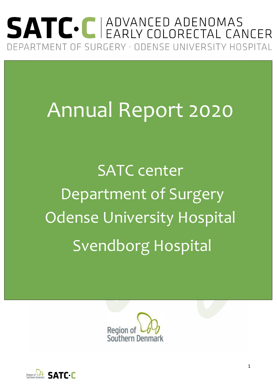## SATC. C ADVANCED ADENOMAS DEPARTMENT OF SURGERY · ODENSE UNIVERSITY HOSPITAL

# Annual Report 2020

SATC center Department of Surgery Odense University Hospital Svendborg Hospital



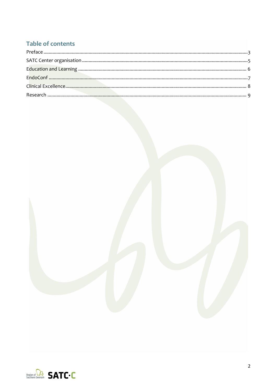#### Table of contents



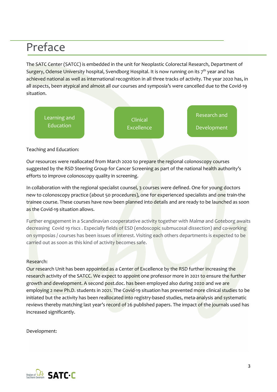### Preface

The SATC Center (SATCC) is embedded in the unit for Neoplastic Colorectal Research, Department of Surgery, Odense University hospital, Svendborg Hospital. It is now running on its  $7<sup>th</sup>$  year and has achieved national as well as international recognition in all three tracks of activity. The year 2020 has, in all aspects, been atypical and almost all our courses and symposia's were cancelled due to the Covid-19 situation.



#### Teaching and Education:

Our resources were reallocated from March 2020 to prepare the regional colonoscopy courses suggested by the RSD Steering Group for Cancer Screening as part of the national health authority's efforts to improve colonoscopy quality in screening.

In collaboration with the regional specialist counsel, 3 courses were defined. One for young doctors new to colonoscopy practice (about 50 procedures), one for experienced specialists and one train-the trainee course. These courses have now been planned into details and are ready to be launched as soon as the Covid-19 situation allows.

Further engagement in a Scandinavian cooperatative activity together with Malmø and Goteborg awaits decreasing Covid 19 riscs . Especially fields of ESD (endoscopic submucosal dissection) and co-working on symposias / courses has been issues of interest. Visiting each others departments is expected to be carried out as soon as this kind of activity becomes safe.

#### Research:

Our research Unit has been appointed as a Center of Excellence by the RSD further increasing the research activity of the SATCC. We expect to appoint one professor more in 2021 to ensure the further growth and development. A second post.doc. has been employed also during 2020 and we are employing 2 new Ph.D. students in 2021. The Covid-19 situation has prevented more clinical studies to be initiated but the activity has been reallocated into registry-based studies, meta-analysis and systematic reviews thereby matching last year's record of 26 published papers. The impact of the journals used has increased significantly.

Development:

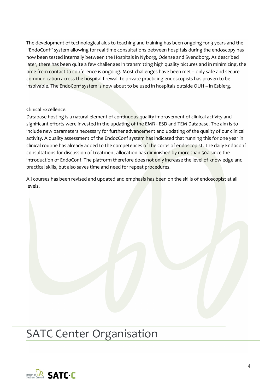The development of technological aids to teaching and training has been ongoing for 3 years and the "EndoConf" system allowing for real time consultations between hospitals during the endoscopy has now been tested internally between the Hospitals in Nyborg, Odense and Svendborg. As described later, there has been quite a few challenges in transmitting high quality pictures and in minimizing, the time from contact to conference is ongoing. Most challenges have been met – only safe and secure communication across the hospital firewall to private practicing endoscopists has proven to be insolvable. The EndoConf system is now about to be used in hospitals outside OUH – in Esbjerg.

#### Clinical Excellence:

Database hosting is a natural element of continuous quality improvement of clinical activity and significant efforts were invested in the updating of the EMR - ESD and TEM Database. The aim is to include new parameters necessary for further advancement and updating of the quality of our clinical activity. A quality assessment of the EndocConf system has indicated that running this for one year in clinical routine has already added to the competences of the corps of endoscopist. The daily Endoconf consultations for discussion of treatment allocation has diminished by more than 50% since the introduction of EndoConf. The platform therefore does not only increase the level of knowledge and practical skills, but also saves time and need for repeat procedures.

All courses has been revised and updated and emphasis has been on the skills of endoscopist at all levels.

### SATC Center Organisation

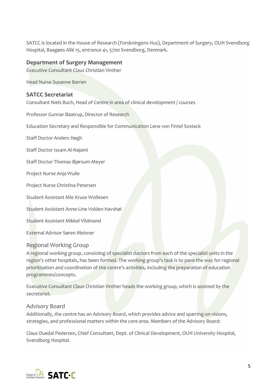SATCC is located in the House of Research (Forskningens Hus), Department of Surgery, OUH Svendborg Hospital, Baagøes Allé 15, entrance 41, 5700 Svendborg, Denmark.

#### **Department of Surgery Management**

Executive Consultant Claus Christian Vinther

Head Nurse Susanne Barren

#### **SATCC Secretariat**

Consultant Niels Buch, Head of Centre in area of clinical development / courses

Professor Gunnar Baatrup, Director of Research

Education Secretary and Responsible for Communication Lene von Fintel Sostack

Staff Doctor Anders Høgh

Staff Doctor Issam Al-Najami

Staff Doctor Thomas Bjørsum-Meyer

Project Nurse Anja Wulle

Project Nurse Christina Petersen

Student Assistant Mie Kruse Wollesen

Student Assistant Anne-Line Volden Havshøi

Student Assistant Mikkel Vildmand

External Advisor Søren Meisner

#### Regional Working Group

A regional working group, consisting of specialist doctors from each of the specialist units in the region's other hospitals, has been formed. The working group's task is to pave the way for regional prioritisation and coordination of the centre's activities, including the preparation of education programmes/concepts.

Executive Consultant Claus Christian Vinther heads the working group, which is assisted by the secretariat.

#### Advisory Board

Additionally, the centre has an Advisory Board, which provides advice and sparring on visions, strategies, and professional matters within the core area. Members of the Advisory Board:

Claus Duedal Pedersen, Chief Consultant, Dept. of Clinical Development, OUH University Hospital, Svendborg Hospital.

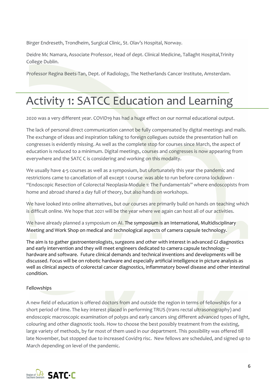Birger Endreseth, Trondheim, Surgical Clinic, St. Olav's Hospital, Norway.

Deidre Mc Namara, Associate Professor, Head of dept. Clinical Medicine, Tallaght Hospital,Trinity College Dublin.

Professor Regina Beets-Tan, Dept. of Radiology, The Netherlands Cancer Institute, Amsterdam.

### Activity 1: SATCC Education and Learning

2020 was a very different year. COVID19 has had a huge effect on our normal educational output.

The lack of personal direct communication cannot be fully compensated by digital meetings and mails. The exchange of ideas and inspiration talking to foreign collegues outside the presentation hall on congresses is evidently missing. As well as the complete stop for courses since March, the aspect of education is reduced to a minimum. Digital meetings, courses and congresses is now appearing from everywhere and the SATC C is considering and working on this modality.

We usually have 4-5 courses as well as a symposium, but ufortunately this year the pandemic and restrictions came to cancellation of all except 1 course was able to run before corona lockdown - "Endoscopic Resection of Colorectal Neoplasia-Module 1: The Fundamentals" where endoscopists from home and abroad shared a day full of theory, but also hands on workshops.

We have looked into online alternatives, but our courses are primarily build on hands on teaching which is difficult online. We hope that 2021 will be the year where we again can host all of our activities.

We have already planned a symposium on AI. The symposium is an International, Multidisciplinary Meeting and Work Shop on medical and technological aspects of camera capsule technology.

The aim is to gather gastroenterologists, surgeons and other with interest in advanced GI diagnostics and early intervention and they will meet engineers dedicated to camera capsule technology hardware and software. Future clinical demands and technical inventions and developments will be discussed. Focus will be on robotic hardware and especially artificial intelligence in picture analysis as well as clinical aspects of colorectal cancer diagnostics, inflammatory bowel disease and other intestinal condition.

#### Fellowships

A new field of education is offered doctors from and outside the region in terms of fellowships for a short period of time. The key interest placed in performing TRUS (trans rectal ultrasonography) and endoscopic macroscopic examination of polyps and early cancers sing different advanced types of light, colouring and other diagnostic tools. How to choose the best possibly treatment from the existing, large variety of methods, by far most of them used in our department. This possibility was offered till late November, but stopped due to increased Covid19 risc. New fellows are scheduled, and signed up to March depending on level of the pandemic.

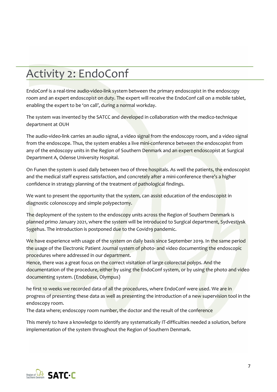### Activity 2: EndoConf

EndoConf is a real-time audio-video-link system between the primary endoscopist in the endoscopy room and an expert endoscopist on duty. The expert will receive the EndoConf call on a mobile tablet, enabling the expert to be 'on call', during a normal workday.

The system was invented by the SATCC and developed in collaboration with the medico-technique department at OUH

The audio-video-link carries an audio signal, a video signal from the endoscopy room, and a video signal from the endoscope. Thus, the system enables a live mini-conference between the endoscopist from any of the endoscopy units in the Region of Southern Denmark and an expert endoscopist at Surgical Department A, Odense University Hospital.

On Funen the system is used daily between two of three hospitals. As well the patients, the endoscopist and the medical staff express satisfaction, and concretely after a mini-conference there's a higher confidence in strategy planning of the treatment of pathological findings.

We want to present the opportunity that the system, can assist education of the endoscopist in diagnostic colonoscopy and simple polypectomy.

The deployment of the system to the endoscopy units across the Region of Southern Denmark is planned primo January 2021, where the system will be introduced to Surgical department, Sydvestjysk Sygehus. The introduction is postponed due to the Covid19 pandemic.

We have experience with usage of the system on daily basis since September 2019. In the same period the usage of the Electronic Patient Journal system of photo- and video documenting the endoscopic procedures where addressed in our department.

Hence, there was a great focus on the correct visitation of large colorectal polyps. And the documentation of the procedure, either by using the EndoConf system, or by using the photo and video documenting system. (Endobase, Olympus)

he first 10 weeks we recorded data of all the procedures, where EndoConf were used. We are in progress of presenting these data as well as presenting the introduction of a new supervision tool in the endoscopy room.

The data where; endoscopy room number, the doctor and the result of the conference

This merely to have a knowledge to identify any systematically IT-difficulties needed a solution, before implementation of the system throughout the Region of Southern Denmark.

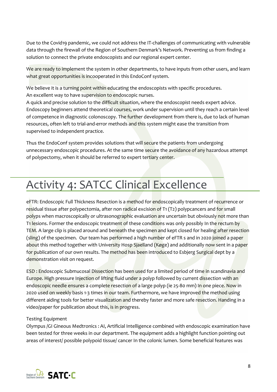Due to the Covid19 pandemic, we could not address the IT-challenges of communicating with vulnerable data through the firewall of the Region of Southern Denmark's Network. Preventing us from finding a solution to connect the private endoscopists and our regional expert center.

We are ready to implement the system in other departments, to have inputs from other users, and learn what great opportunities is incooperated in this EndoConf system.

We believe it is a turning point within educating the endoscopists with specific procedures. An excellent way to have supervision to endoscopic nurses.

A quick and precise solution to the difficult situation, where the endoscopist needs expert advice. Endoscopy beginners attend theoretical courses, work under supervision until they reach a certain level of competence in diagnostic colonoscopy. The further development from there is, due to lack of human resources, often left to trial-and-error methods and this system might ease the transition from supervised to independent practice.

Thus the EndoConf system provides solutions that will secure the patients from undergoing unnecessary endoscopic procedures. At the same time secure the avoidance of any hazardous attempt of polypectomy, when it should be referred to expert tertiary center.

### Activity 4: SATCC Clinical Excellence

eFTR: Endoscopic Full Thickness Resection is a method for endoscopically treatment of recurrence or residual tissue after polypectomia, after non radical excision of T1 (T2) polypcancers and for small polyps when macroscopically or ultrasonographic evaluation are uncertain but obviously not more than T1 lesions. Former the endoscopic treatment of these conditions was only possibly In the rectum by TEM. A large clip is placed around and beneath the specimen and kept closed for healing after resection (sling) of the specimen. Our team has performed a high number of eFTR s and in 2020 joined a paper about this method together with University Hosp Sjaelland (Køge) and additionally now sent in a paper for publication of our own results. The method has been introduced to Esbjerg Surgical dept by a demonstration visit on request.

ESD : Endoscopic Submucosal Dissection has been used for a limited period of time in scandinavia and Europe. High pressure Injection of lifting fluid under a polyp followed by current dissection with an endoscopic needle ensures a complete resection of a large polyp (ie 25-80 mm) In one piece. Now in 2020 used on weekly basis 1-3 times in our team. Furthermore, we have improved the method using different aiding tools for better visualization and thereby faster and more safe resection. Handing in a video/paper for publication about this, is in progress.

#### Testing Equipment

Olympus /GI Gineous Medtronics : AI, Artificial Intelligence combined with endoscopic examination have been tested for three weeks in our department. The equipment adds a highlight function pointing out areas of interest/ possible polypoid tissue/ cancer In the colonic lumen. Some beneficial features was

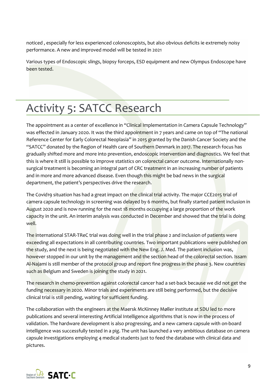noticed , especially for less experienced colonoscopists, but also obvious deficits ie extremely noisy performance. A new and improved model will be tested in 2021

Various types of Endoscopic slings, biopsy forceps, ESD equipment and new Olympus Endoscope have been tested.

### Activity 5: SATCC Research

The appointment as a center of excellence in "Clinical Implementation in Camera Capsule Technology" was effected in January 2020. It was the third appointment in 7 years and came on top of "The national Reference Center for Early Colorectal Neoplasia" in 2015 granted by the Danish Cancer Society and the "SATCC" donated by the Region of Health care of Southern Denmark in 2017. The research focus has gradually shifted more and more into prevention, endoscopic intervention and diagnostics. We feel that this is where it still is possible to improve statistics on colorectal cancer outcome. Internationally nonsurgical treatment is becoming an integral part of CRC treatment in an increasing number of patients and in more and more advanced disease. Even though this might be bad news in the surgical department, the patient's perspectives drive the research.

The Covid19 situation has had a great impact on the clinical trial activity. The major CCE2015 trial of camera capsule technology in screening was delayed by 6 months, but finally started patient inclusion in August 2020 and is now running for the next 18 months occupying a large proportion of the work capacity in the unit. An interim analysis was conducted in December and showed that the trial is doing well.

The international STAR-TReC trial was doing well in the trial phase 2 and inclusion of patients were exceeding all expectations in all contributing countries. Two important publications were published on the study, and the next is being negotiated with the New Eng. J. Med. The patient inclusion was, however stopped in our unit by the management and the section head of the colorectal section. Issam Al-Najami is still member of the protocol group and report fine progress in the phase 3. New countries such as Belgium and Sweden is joining the study in 2021.

The research in chemo-prevention against colorectal cancer had a set-back because we did not get the funding necessary in 2020. Minor trials and experiments are still being performed, but the decisive clinical trial is still pending, waiting for sufficient funding.

The collaboration with the engineers at the Maersk McKinney Møller institute at SDU led to more publications and several interesting Artificial Intelligence algorithms that is now in the process of validation. The hardware development is also progressing, and a new camera capsule with on-board intelligence was successfully tested in a pig. The unit has launched a very ambitious database on camera capsule investigations employing 4 medical students just to feed the database with clinical data and pictures.

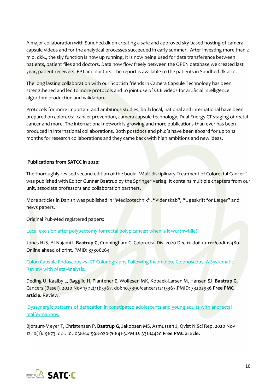A major collaboration with Sundhed.dk on creating a safe and approved sky-based hosting of camera capsule videos and for the analytical processes succeeded in early summer. After investing more than 2 mio. dkk., the sky function is now up running. It is now being used for data transference between patients, patient files and doctors. Data now flow freely between the OPEN database we created last year, patient receivers, EPJ and doctors. The report is available to the patients in Sundhed.dk also.

The long lasting collaboration with our Scottish friends in Camera Capsule Technology has been strengthened and led to more protocols and to joint use of CCE videos for artificial intelligence algorithm production and validation.

Protocols for more important and ambitious studies, both local, national and international have been prepared on colorectal cancer prevention, camera capsule technology, Dual Energy CT staging of rectal cancer and more. The international network is growing and more publications than ever has been produced in international collaborations. Both postdocs and ph.d´s have been aboard for up to 12 months for research collaborations and they came back with high ambitions and new ideas.

#### **Publications from SATCC in 2020:**

The thoroughly revised second edition of the book: "Multidisciplinary Treatment of Colorectal Cancer" was published with Editor Gunnar Baatrup by the Springer Verlag. It contains multiple chapters from our unit, associate professors and collaboration partners.

More articles in Danish was published in "Medicotechnik", "Videnskab", "Ugeskrift for Læger" and news papers.

Original Pub-Med registered papers:

[Local excision after polypectomy for rectal polyp cancer: when is it worthwhile?](https://pubmed.ncbi.nlm.nih.gov/33306264/)

Jones HJS, Al-Najami I, **Baatrup G**, Cunningham C. Colorectal Dis. 2020 Dec 11. doi: 10.1111/codi.15480. Online ahead of print. PMID: 33306264

[Colon Capsule Endoscopy vs. CT Colonography Following Incomplete Colonoscopy: A Systematic](https://pubmed.ncbi.nlm.nih.gov/33202936/)  [Review with Meta-Analysis.](https://pubmed.ncbi.nlm.nih.gov/33202936/)

Deding U, Kaalby L, Bøggild H, Plantener E, Wollesen MK, Kobaek-Larsen M, Hansen SJ, **Baatrup G.** Cancers (Basel). 2020 Nov 13;12(11):3367. doi: 10.3390/cancers12113367.PMID: 33202936 **Free PMC article.** Review.

[Dyssynergic patterns of defecation in constipated adolescents and young adults with anorectal](https://pubmed.ncbi.nlm.nih.gov/33184420/)  [malformations.](https://pubmed.ncbi.nlm.nih.gov/33184420/)

Bjørsum-Meyer T, Christensen P, **Baatrup G**, Jakobsen MS, Asmussen J, Qvist N.Sci Rep. 2020 Nov 12;10(1):19673. doi: 10.1038/s41598-020-76841-5.PMID: 33184420 **Free PMC article.**

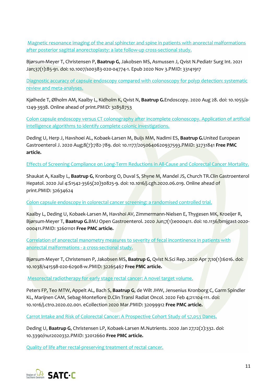[Magnetic resonance imaging of the anal sphincter and spine in patients with anorectal malformations](https://pubmed.ncbi.nlm.nih.gov/33141917/)  [after posterior sagittal anorectoplasty: a late follow-up cross-sectional study.](https://pubmed.ncbi.nlm.nih.gov/33141917/)

Bjørsum-Meyer T, Christensen P, **Baatrup G**, Jakobsen MS, Asmussen J, Qvist N.Pediatr Surg Int. 2021 Jan;37(1):85-91. doi: 10.1007/s00383-020-04774-1. Epub 2020 Nov 3.PMID: 33141917

[Diagnostic accuracy of capsule endoscopy compared with colonoscopy for polyp detection: systematic](https://pubmed.ncbi.nlm.nih.gov/32858753/)  [review and meta-analyses.](https://pubmed.ncbi.nlm.nih.gov/32858753/)

Kjølhede T, Ølholm AM, Kaalby L, Kidholm K, Qvist N, **Baatrup G.**Endoscopy. 2020 Aug 28. doi: 10.1055/a-1249-3938. Online ahead of print.PMID: 32858753

[Colon capsule endoscopy versus CT colonography after incomplete colonoscopy. Application of artificial](https://pubmed.ncbi.nlm.nih.gov/32731841/)  [intelligence algorithms to identify complete colonic investigations.](https://pubmed.ncbi.nlm.nih.gov/32731841/)

Deding U, Herp J, Havshoei AL, Kobaek-Larsen M, Buijs MM, Nadimi ES, **Baatrup G.**United European Gastroenterol J. 2020 Aug;8(7):782-789. doi: 10.1177/2050640620937593.PMID: 32731841 **Free PMC article.**

[Effects of Screening Compliance on Long-Term Reductions in All-Cause and Colorectal Cancer Mortality.](https://pubmed.ncbi.nlm.nih.gov/32634624/)

Shaukat A, Kaalby L, **Baatrup G**, Kronborg O, Duval S, Shyne M, Mandel JS, Church TR.Clin Gastroenterol Hepatol. 2020 Jul 4:S1542-3565(20)30825-9. doi: 10.1016/j.cgh.2020.06.019. Online ahead of print.PMID: 32634624

[Colon capsule endoscopy in colorectal cancer screening: a randomised controlled trial.](https://pubmed.ncbi.nlm.nih.gov/32601101/)

Kaalby L, Deding U, Kobaek-Larsen M, Havshoi AV, Zimmermann-Nielsen E, Thygesen MK, Kroeijer R, Bjørsum-Meyer T, **Baatrup G.**BMJ Open Gastroenterol. 2020 Jun;7(1):e000411. doi: 10.1136/bmjgast-2020- 000411.PMID: 32601101 **Free PMC article.**

[Correlation of anorectal manometry measures to severity of fecal incontinence in patients with](https://pubmed.ncbi.nlm.nih.gov/32265467/)  [anorectal malformations -](https://pubmed.ncbi.nlm.nih.gov/32265467/) a cross-sectional study.

Bjørsum-Meyer T, Christensen P, Jakobsen MS, **Baatrup G**, Qvist N.Sci Rep. 2020 Apr 7;10(1):6016. doi: 10.1038/s41598-020-62908-w.PMID: 32265467 **Free PMC article.**

[Mesorectal radiotherapy for early stage rectal cancer: A novel target volume.](https://pubmed.ncbi.nlm.nih.gov/32099912/)

Peters FP, Teo MTW, Appelt AL, Bach S, **Baatrup G**, de Wilt JHW, Jensenius Kronborg C, Garm Spindler KL, Marijnen CAM, Sebag-Montefiore D.Clin Transl Radiat Oncol. 2020 Feb 4;21:104-111. doi: 10.1016/j.ctro.2020.02.001. eCollection 2020 Mar.PMID: 32099912 **Free PMC article.**

[Carrot Intake and Risk of Colorectal Cancer: A Prospective Cohort Study of 57,053 Danes.](https://pubmed.ncbi.nlm.nih.gov/32012660/)

Deding U, **Baatrup G**, Christensen LP, Kobaek-Larsen M.Nutrients. 2020 Jan 27;12(2):332. doi: 10.3390/nu12020332.PMID: 32012660 **Free PMC article.**

[Quality of life after rectal-preserving treatment of rectal cancer.](https://pubmed.ncbi.nlm.nih.gov/32773139/)